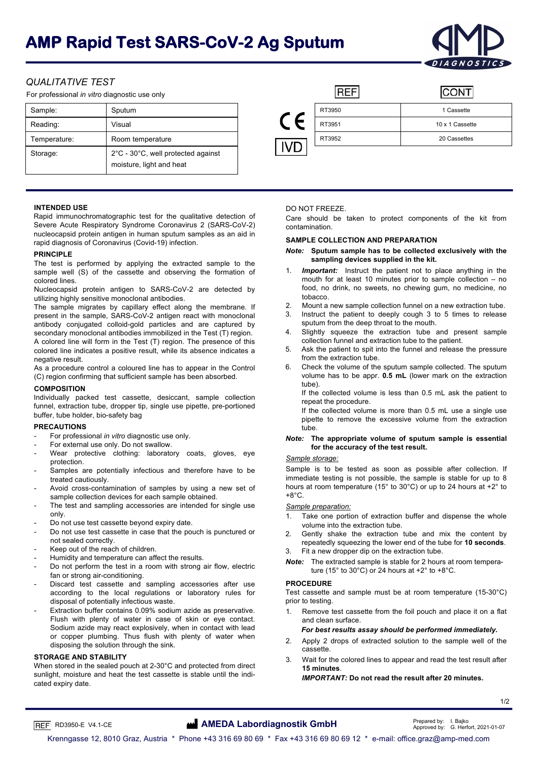# **AMP Rapid Test SARS-CoV-2 Ag Sputum**



**CONT** 

# *QUALITATIVE TEST*

For professional *in vitro* diagnostic use only

| Sample:      | Sputum                                                         |    | RT3950 | 1 Cassette      |
|--------------|----------------------------------------------------------------|----|--------|-----------------|
| Reading:     | Visual                                                         |    | RT3951 | 10 x 1 Cassette |
| Temperature: | Room temperature                                               |    | RT3952 | 20 Cassettes    |
| Storage:     | 2°C - 30°C, well protected against<br>moisture, light and heat | VD |        |                 |



## **INTENDED USE**

Rapid immunochromatographic test for the qualitative detection of Severe Acute Respiratory Syndrome Coronavirus 2 (SARS-CoV-2) nucleocapsid protein antigen in human sputum samples as an aid in rapid diagnosis of Coronavirus (Covid-19) infection.

## **PRINCIPLE**

The test is performed by applying the extracted sample to the sample well (S) of the cassette and observing the formation of colored lines.

Nucleocapsid protein antigen to SARS-CoV-2 are detected by utilizing highly sensitive monoclonal antibodies.

The sample migrates by capillary effect along the membrane. If present in the sample, SARS-CoV-2 antigen react with monoclonal antibody conjugated colloid-gold particles and are captured by secondary monoclonal antibodies immobilized in the Test (T) region. A colored line will form in the Test (T) region. The presence of this colored line indicates a positive result, while its absence indicates a negative result.

As a procedure control a coloured line has to appear in the Control (C) region confirming that sufficient sample has been absorbed.

## **COMPOSITION**

Individually packed test cassette, desiccant, sample collection funnel, extraction tube, dropper tip, single use pipette, pre-portioned buffer, tube holder, bio-safety bag

## **PRECAUTIONS**

- For professional *in vitro* diagnostic use only.
- For external use only. Do not swallow.
- Wear protective clothing: laboratory coats, gloves, eye protection.
- Samples are potentially infectious and therefore have to be treated cautiously.
- Avoid cross-contamination of samples by using a new set of sample collection devices for each sample obtained.
- The test and sampling accessories are intended for single use only.
- Do not use test cassette beyond expiry date.
- Do not use test cassette in case that the pouch is punctured or not sealed correctly.
- Keep out of the reach of children.
- Humidity and temperature can affect the results.
- Do not perform the test in a room with strong air flow, electric fan or strong air-conditioning.
- Discard test cassette and sampling accessories after use according to the local regulations or laboratory rules for disposal of potentially infectious waste.
- Extraction buffer contains 0.09% sodium azide as preservative. Flush with plenty of water in case of skin or eye contact. Sodium azide may react explosively, when in contact with lead or copper plumbing. Thus flush with plenty of water when disposing the solution through the sink.

## **STORAGE AND STABILITY**

When stored in the sealed pouch at 2-30°C and protected from direct sunlight, moisture and heat the test cassette is stable until the indicated expiry date.

## DO NOT FREEZE.

Care should be taken to protect components of the kit from contamination.

#### **SAMPLE COLLECTION AND PREPARATION**

**REF** 

#### *Note:* **Sputum sample has to be collected exclusively with the sampling devices supplied in the kit.**

- **Important:** Instruct the patient not to place anything in the mouth for at least 10 minutes prior to sample collection – no food, no drink, no sweets, no chewing gum, no medicine, no tobacco.
- 2. Mount a new sample collection funnel on a new extraction tube.
- 3. Instruct the patient to deeply cough 3 to 5 times to release sputum from the deep throat to the mouth.
- Slightly squeeze the extraction tube and present sample collection funnel and extraction tube to the patient.
- 5. Ask the patient to spit into the funnel and release the pressure from the extraction tube.
- 6. Check the volume of the sputum sample collected. The sputum volume has to be appr. **0.5 mL** (lower mark on the extraction tube).

If the collected volume is less than 0.5 mL ask the patient to repeat the procedure.

If the collected volume is more than 0.5 mL use a single use pipette to remove the excessive volume from the extraction tube.

## *Note:* **The appropriate volume of sputum sample is essential for the accuracy of the test result.**

## *Sample storage:*

Sample is to be tested as soon as possible after collection. If immediate testing is not possible, the sample is stable for up to 8 hours at room temperature (15° to 30°C) or up to 24 hours at +2° to  $+8^{\circ}$ C.

#### *Sample preparation:*

- 1. Take one portion of extraction buffer and dispense the whole volume into the extraction tube.
- 2. Gently shake the extraction tube and mix the content by repeatedly squeezing the lower end of the tube for **10 seconds**.
- 3. Fit a new dropper dip on the extraction tube.
- *Note:* The extracted sample is stable for 2 hours at room temperature (15 $\degree$  to 30 $\degree$ C) or 24 hours at +2 $\degree$  to +8 $\degree$ C.

## **PROCEDURE**

Test cassette and sample must be at room temperature (15-30°C) prior to testing.

1. Remove test cassette from the foil pouch and place it on a flat and clean surface.

#### *For best results assay should be performed immediately.*

- 2. Apply 2 drops of extracted solution to the sample well of the cassette.
- 3. Wait for the colored lines to appear and read the test result after **15 minutes**.

*IMPORTANT:* **Do not read the result after 20 minutes.**

# RD3950-E V4.1-CE **AMEDA Labordiagnostik GmbH Prepared by:** I. Bajko **C. Approved by: I. Bajko C. Herf**

1/2